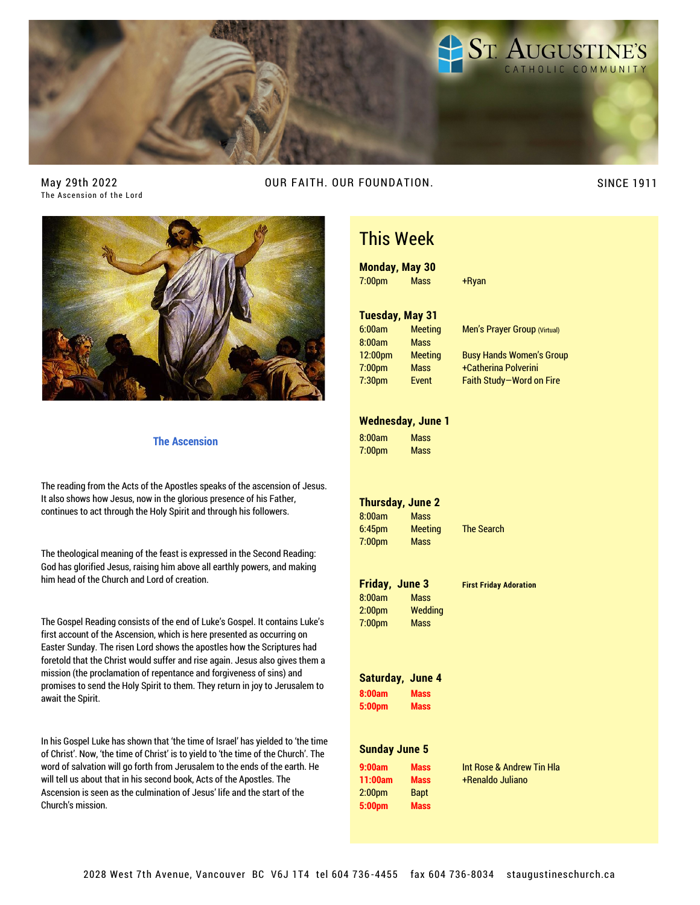

May 29th 2022 The Ascension of the Lord OUR FAITH. OUR FOUNDATION. SINCE 1911



#### **The Ascension**

The reading from the Acts of the Apostles speaks of the ascension of Jesus. It also shows how Jesus, now in the glorious presence of his Father, continues to act through the Holy Spirit and through his followers.

The theological meaning of the feast is expressed in the Second Reading: God has glorified Jesus, raising him above all earthly powers, and making him head of the Church and Lord of creation.

The Gospel Reading consists of the end of Luke's Gospel. It contains Luke's first account of the Ascension, which is here presented as occurring on Easter Sunday. The risen Lord shows the apostles how the Scriptures had foretold that the Christ would suffer and rise again. Jesus also gives them a mission (the proclamation of repentance and forgiveness of sins) and promises to send the Holy Spirit to them. They return in joy to Jerusalem to await the Spirit.

In his Gospel Luke has shown that 'the time of Israel' has yielded to 'the time of Christ'. Now, 'the time of Christ' is to yield to 'the time of the Church'. The word of salvation will go forth from Jerusalem to the ends of the earth. He will tell us about that in his second book, Acts of the Apostles. The Ascension is seen as the culmination of Jesus' life and the start of the Church's mission.

## This Week

**Monday, May 30** 7:00pm Mass +Ryan **Tuesday, May 31** 6:00am Meeting Men's Prayer Group (Virtual) 8:00am Mass 12:00pm Meeting Busy Hands Women's Group 7:00pm Mass +Catherina Polverini 7:30pm Event Faith Study—Word on Fire **Wednesday, June 1**

8:00am Mass 7:00pm Mass

#### **Thursday, June 2**

8:00am Mass 6:45pm Meeting The Search 7:00pm Mass

|                    | Friday, June 3 | <b>First Friday Adoration</b> |
|--------------------|----------------|-------------------------------|
| 8:00am             | <b>Mass</b>    |                               |
| 2:00pm             | Weddina        |                               |
| 7:00 <sub>pm</sub> | <b>Mass</b>    |                               |

### **Saturday, June 4 8:00am Mass**

**5:00pm Mass**

#### **Sunday June 5**

| 9:00am             | Mass        |
|--------------------|-------------|
| 11:00am            | Mass        |
| 2:00 <sub>pm</sub> | <b>Bapt</b> |
| 5:00pm             | <b>Mass</b> |

**9:00am Mass** Int Rose & Andrew Tin Hla **11:00am Mass** +Renaldo Juliano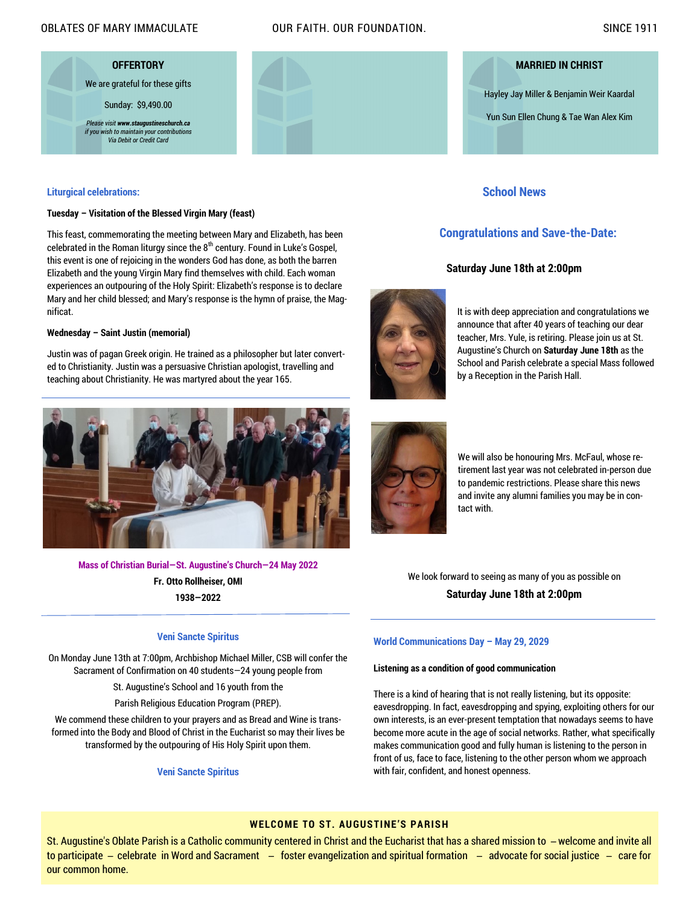#### OBLATES OF MARY IMMACULATE OUR FAITH. OUR FOUNDATION. SINCE 1911

**OFFERTORY** We are grateful for these gifts Sunday: \$9,490.00 *Please visit www.staugustineschurch.ca if you wish to maintain your contributions Via Debit or Credit Card*



Hayley Jay Miller & Benjamin Weir Kaardal

Yun Sun Ellen Chung & Tae Wan Alex Kim

#### **Liturgical celebrations:**

#### **Tuesday – Visitation of the Blessed Virgin Mary (feast)**

This feast, commemorating the meeting between Mary and Elizabeth, has been celebrated in the Roman liturgy since the  $8<sup>th</sup>$  century. Found in Luke's Gospel, this event is one of rejoicing in the wonders God has done, as both the barren Elizabeth and the young Virgin Mary find themselves with child. Each woman experiences an outpouring of the Holy Spirit: Elizabeth's response is to declare Mary and her child blessed; and Mary's response is the hymn of praise, the Magnificat.

#### **Wednesday – Saint Justin (memorial)**

Justin was of pagan Greek origin. He trained as a philosopher but later converted to Christianity. Justin was a persuasive Christian apologist, travelling and teaching about Christianity. He was martyred about the year 165.



**Mass of Christian Burial—St. Augustine's Church—24 May 2022 Fr. Otto Rollheiser, OMI 1938—2022**

#### **Veni Sancte Spiritus**

On Monday June 13th at 7:00pm, Archbishop Michael Miller, CSB will confer the Sacrament of Confirmation on 40 students—24 young people from

St. Augustine's School and 16 youth from the

Parish Religious Education Program (PREP).

We commend these children to your prayers and as Bread and Wine is transformed into the Body and Blood of Christ in the Eucharist so may their lives be transformed by the outpouring of His Holy Spirit upon them.

**Veni Sancte Spiritus**

It is with deep appreciation and congratulations we announce that after 40 years of teaching our dear teacher, Mrs. Yule, is retiring. Please join us at St. Augustine's Church on **Saturday June 18th** as the School and Parish celebrate a special Mass followed by a Reception in the Parish Hall.



We will also be honouring Mrs. McFaul, whose retirement last year was not celebrated in-person due to pandemic restrictions. Please share this news and invite any alumni families you may be in contact with.

We look forward to seeing as many of you as possible on **Saturday June 18th at 2:00pm**

#### **World Communications Day – May 29, 2029**

#### **Listening as a condition of good communication**

There is a kind of hearing that is not really listening, but its opposite: eavesdropping. In fact, eavesdropping and spying, exploiting others for our own interests, is an ever-present temptation that nowadays seems to have become more acute in the age of social networks. Rather, what specifically makes communication good and fully human is listening to the person in front of us, face to face, listening to the other person whom we approach with fair, confident, and honest openness.

### **WELCOME TO ST. AUGUSTINE'S PARISH**

St. Augustine's Oblate Parish is a Catholic community centered in Christ and the Eucharist that has a shared mission to ̶ welcome and invite all to participate – celebrate in Word and Sacrament – foster evangelization and spiritual formation – advocate for social justice – care for our common home.

#### **School News**

### **Congratulations and Save-the-Date:**

#### **Saturday June 18th at 2:00pm**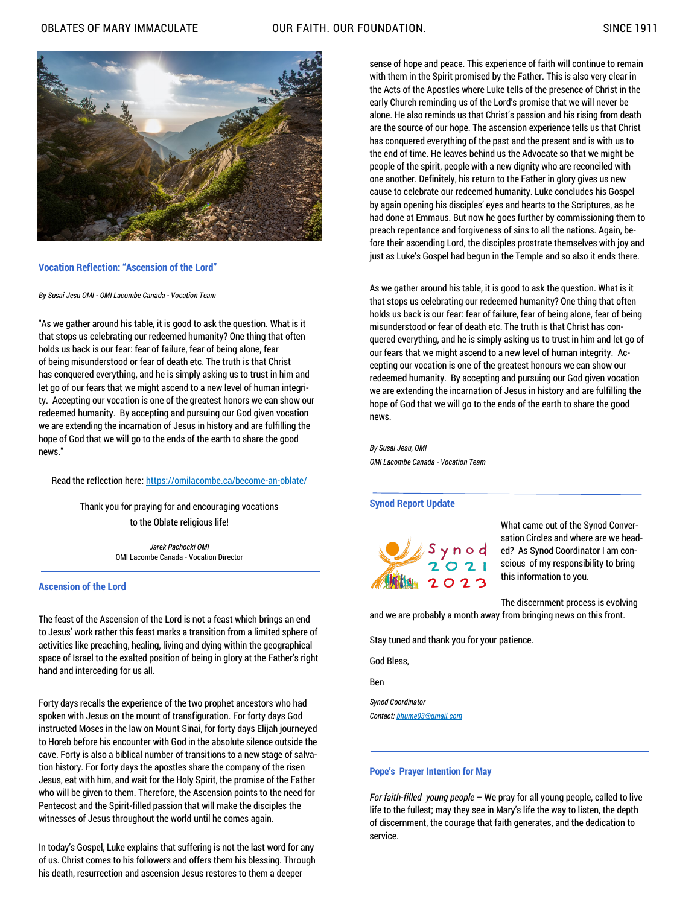

#### **Vocation Reflection: "Ascension of the Lord"**

*By Susai Jesu OMI - OMI Lacombe Canada - Vocation Team*

"As we gather around his table, it is good to ask the question. What is it that stops us celebrating our redeemed humanity? One thing that often holds us back is our fear: fear of failure, fear of being alone, fear of being misunderstood or fear of death etc. The truth is that Christ has conquered everything, and he is simply asking us to trust in him and let go of our fears that we might ascend to a new level of human integrity. Accepting our vocation is one of the greatest honors we can show our redeemed humanity. By accepting and pursuing our God given vocation we are extending the incarnation of Jesus in history and are fulfilling the hope of God that we will go to the ends of the earth to share the good news."

Read the reflection here: [https://omilacombe.ca/become-an-o](https://omilacombe.ca/become-an-)blate/

Thank you for praying for and encouraging vocations to the Oblate religious life!

> *Jarek Pachocki OMI* OMI Lacombe Canada - Vocation Director

#### **Ascension of the Lord**

The feast of the Ascension of the Lord is not a feast which brings an end to Jesus' work rather this feast marks a transition from a limited sphere of activities like preaching, healing, living and dying within the geographical space of Israel to the exalted position of being in glory at the Father's right hand and interceding for us all.

Forty days recalls the experience of the two prophet ancestors who had spoken with Jesus on the mount of transfiguration. For forty days God instructed Moses in the law on Mount Sinai, for forty days Elijah journeyed to Horeb before his encounter with God in the absolute silence outside the cave. Forty is also a biblical number of transitions to a new stage of salvation history. For forty days the apostles share the company of the risen Jesus, eat with him, and wait for the Holy Spirit, the promise of the Father who will be given to them. Therefore, the Ascension points to the need for Pentecost and the Spirit-filled passion that will make the disciples the witnesses of Jesus throughout the world until he comes again.

In today's Gospel, Luke explains that suffering is not the last word for any of us. Christ comes to his followers and offers them his blessing. Through his death, resurrection and ascension Jesus restores to them a deeper

sense of hope and peace. This experience of faith will continue to remain with them in the Spirit promised by the Father. This is also very clear in the Acts of the Apostles where Luke tells of the presence of Christ in the early Church reminding us of the Lord's promise that we will never be alone. He also reminds us that Christ's passion and his rising from death are the source of our hope. The ascension experience tells us that Christ has conquered everything of the past and the present and is with us to the end of time. He leaves behind us the Advocate so that we might be people of the spirit, people with a new dignity who are reconciled with one another. Definitely, his return to the Father in glory gives us new cause to celebrate our redeemed humanity. Luke concludes his Gospel by again opening his disciples' eyes and hearts to the Scriptures, as he had done at Emmaus. But now he goes further by commissioning them to preach repentance and forgiveness of sins to all the nations. Again, before their ascending Lord, the disciples prostrate themselves with joy and just as Luke's Gospel had begun in the Temple and so also it ends there.

As we gather around his table, it is good to ask the question. What is it that stops us celebrating our redeemed humanity? One thing that often holds us back is our fear: fear of failure, fear of being alone, fear of being misunderstood or fear of death etc. The truth is that Christ has conquered everything, and he is simply asking us to trust in him and let go of our fears that we might ascend to a new level of human integrity. Accepting our vocation is one of the greatest honours we can show our redeemed humanity. By accepting and pursuing our God given vocation we are extending the incarnation of Jesus in history and are fulfilling the hope of God that we will go to the ends of the earth to share the good news.

*By Susai Jesu, OMI OMI Lacombe Canada - Vocation Team*

#### **Synod Report Update**



What came out of the Synod Conversation Circles and where are we headed? As Synod Coordinator I am conscious of my responsibility to bring this information to you.

The discernment process is evolving and we are probably a month away from bringing news on this front.

Stay tuned and thank you for your patience.

God Bless,

Ben

*Synod Coordinator Contact: [bhume03@gmail.com](mailto:bhume03@gmail.com)*

#### **Pope's Prayer Intention for May**

*For faith-filled young people* – We pray for all young people, called to live life to the fullest; may they see in Mary's life the way to listen, the depth of discernment, the courage that faith generates, and the dedication to service.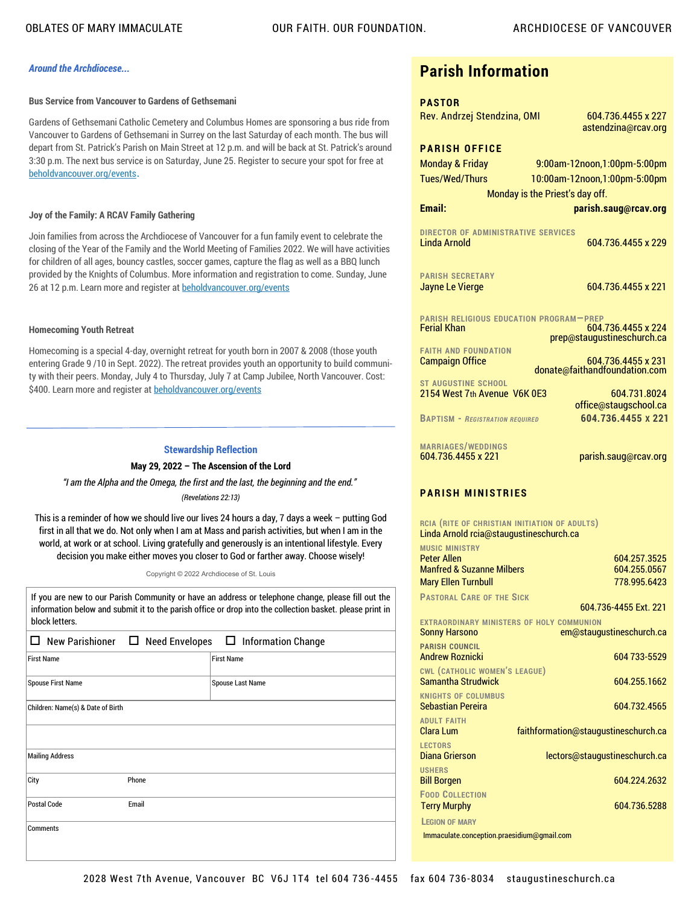#### *Around the Archdiocese...*

#### **Bus Service from Vancouver to Gardens of Gethsemani**

Gardens of Gethsemani Catholic Cemetery and Columbus Homes are sponsoring a bus ride from Vancouver to Gardens of Gethsemani in Surrey on the last Saturday of each month. The bus will depart from St. Patrick's Parish on Main Street at 12 p.m. and will be back at St. Patrick's around 3:30 p.m. The next bus service is on Saturday, June 25. Register to secure your spot for free at [beholdvancouver.org/events](https://www2.rcav.org/e/897551/vice-from-vancouver-to-gardens/3fqy95/703316302?h=X92pOSJrYse8UEs90yfOeyd-QR2Al-ljpKRXMUW8yPY).

#### **Joy of the Family: A RCAV Family Gathering**

Join families from across the Archdiocese of Vancouver for a fun family event to celebrate the closing of the Year of the Family and the World Meeting of Families 2022. We will have activities for children of all ages, bouncy castles, soccer games, capture the flag as well as a BBQ lunch provided by the Knights of Columbus. More information and registration to come. Sunday, June 26 at 12 p.m. Learn more and register at [beholdvancouver.org/events](https://www2.rcav.org/e/897551/events-world-meeting-of-family/3fqy98/703316302?h=X92pOSJrYse8UEs90yfOeyd-QR2Al-ljpKRXMUW8yPY)

#### **Homecoming Youth Retreat**

Homecoming is a special 4-day, overnight retreat for youth born in 2007 & 2008 (those youth entering Grade 9 /10 in Sept. 2022). The retreat provides youth an opportunity to build community with their peers. Monday, July 4 to Thursday, July 7 at Camp Jubilee, North Vancouver. Cost: \$400. Learn more and register at [beholdvancouver.org/events](https://www2.rcav.org/e/897551/vents-homecoming-youth-retreat/3fqy9c/703316302?h=X92pOSJrYse8UEs90yfOeyd-QR2Al-ljpKRXMUW8yPY)

#### **Stewardship Reflection**

#### **May 29, 2022 – The Ascension of the Lord**

*"I am the Alpha and the Omega, the first and the last, the beginning and the end."*

#### *(Revelations 22:13)*

This is a reminder of how we should live our lives 24 hours a day, 7 days a week – putting God first in all that we do. Not only when I am at Mass and parish activities, but when I am in the world, at work or at school. Living gratefully and generously is an intentional lifestyle. Every decision you make either moves you closer to God or farther away. Choose wisely!

Copyright © 2022 Archdiocese of St. Louis

If you are new to our Parish Community or have an address or telephone change, please fill out the information below and submit it to the parish office or drop into the collection basket. please print in block letters.

| New Parishioner □ Need Envelopes □ Information Change |       |                   |
|-------------------------------------------------------|-------|-------------------|
| <b>First Name</b>                                     |       | <b>First Name</b> |
| <b>Spouse First Name</b>                              |       | Spouse Last Name  |
| Children: Name(s) & Date of Birth                     |       |                   |
|                                                       |       |                   |
| <b>Mailing Address</b>                                |       |                   |
| City                                                  | Phone |                   |
| <b>Postal Code</b>                                    | Email |                   |
| <b>Comments</b>                                       |       |                   |

### **Parish Information**

| <b>PASTOR</b>                                         |                                 |
|-------------------------------------------------------|---------------------------------|
| Rev. Andrzej Stendzina, OMI                           | 604.736.4455 x 227              |
|                                                       | astendzina@rcav.org             |
| <b>PARISH OFFICE</b>                                  |                                 |
| <b>Monday &amp; Friday</b>                            | 9:00am-12noon,1:00pm-5:00pm     |
| Tues/Wed/Thurs                                        | 10:00am-12noon,1:00pm-5:00pm    |
|                                                       | Monday is the Priest's day off. |
| Email:                                                | parish.saug@rcav.org            |
| <b>DIRECTOR OF ADMINISTRATIVE SERVICES</b>            |                                 |
| Linda Arnold                                          | 604 736 4455 x 229              |
|                                                       |                                 |
| <b>PARISH SECRETARY</b>                               |                                 |
| <b>Jayne Le Vierge</b>                                | 604 736 4455 x 221              |
| <b>PARISH RELIGIOUS EDUCATION PROGRAM-PREP</b>        |                                 |
| <b>Ferial Khan</b>                                    | 604.736.4455 x 224              |
|                                                       | prep@staugustineschurch.ca      |
| <b>FAITH AND FOUNDATION</b><br><b>Campaign Office</b> | 604.736.4455 x 231              |
|                                                       | donate@faithandfoundation.com   |
| <b>ST AUGUSTINE SCHOOL</b>                            | 604.731.8024                    |
| 2154 West 7th Avenue V6K 0E3                          | office@staugschool.ca           |
| <b>BAPTISM - REGISTRATION REQUIRED</b>                | 604.736.4455 x 221              |
|                                                       |                                 |
| <b>MARRIAGES/WEDDINGS</b>                             |                                 |
| 604.736.4455 x 221                                    | parish.saug@rcav.org            |
|                                                       |                                 |

#### **PARISH MINISTRIES**

**RCIA (RITE OF CHRISTIAN INITIATION OF ADULTS)** Linda Arnold rcia@staugustineschurch.ca

| <b>MUSIC MINISTRY</b><br><b>Peter Allen</b> | 604.257.3525                         |  |
|---------------------------------------------|--------------------------------------|--|
| <b>Manfred &amp; Suzanne Milbers</b>        | 604.255.0567                         |  |
| <b>Mary Ellen Turnbull</b>                  | 778.995.6423                         |  |
|                                             |                                      |  |
| <b>PASTORAL CARE OF THE SICK</b>            |                                      |  |
|                                             | 604 736-4455 Fxt. 221                |  |
| EXTRAORDINARY MINISTERS OF HOLY COMMUNION   |                                      |  |
| <b>Sonny Harsono</b>                        | em@staugustineschurch.ca             |  |
| <b>PARISH COUNCIL</b>                       |                                      |  |
| <b>Andrew Roznicki</b>                      | 604 733-5529                         |  |
| <b>CWL (CATHOLIC WOMEN'S LEAGUE)</b>        |                                      |  |
| <b>Samantha Strudwick</b>                   | 604.255.1662                         |  |
| <b>KNIGHTS OF COLUMBUS</b>                  |                                      |  |
| <b>Sebastian Pereira</b>                    | 604.732.4565                         |  |
| <b>ADULT FAITH</b>                          |                                      |  |
| Clara Lum                                   | faithformation@staugustineschurch.ca |  |
|                                             |                                      |  |
| <b>LECTORS</b><br>Diana Grierson            |                                      |  |
|                                             | lectors@staugustineschurch.ca        |  |
| <b>USHERS</b>                               |                                      |  |
| <b>Bill Borgen</b>                          | 604.224.2632                         |  |
| <b>FOOD COLLECTION</b>                      |                                      |  |
| <b>Terry Murphy</b>                         | 604.736.5288                         |  |
| <b>LEGION OF MARY</b>                       |                                      |  |
| Immaculate.conception.praesidium@qmail.com  |                                      |  |